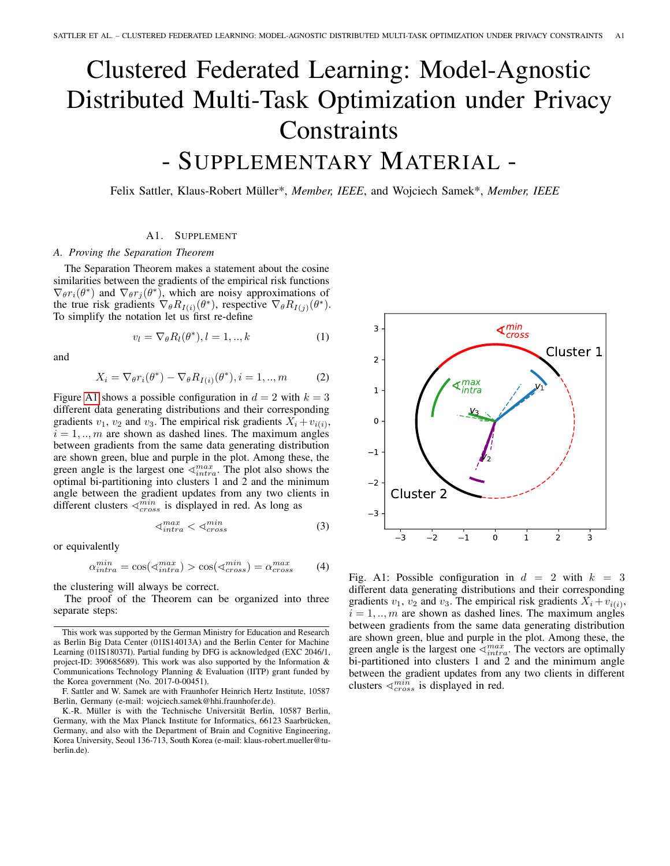## Clustered Federated Learning: Model-Agnostic Distributed Multi-Task Optimization under Privacy **Constraints** - SUPPLEMENTARY MATERIAL -

Felix Sattler, Klaus-Robert Müller\*, *Member, IEEE*, and Wojciech Samek\*, *Member, IEEE*

## A1. SUPPLEMENT

## *A. Proving the Separation Theorem*

The Separation Theorem makes a statement about the cosine similarities between the gradients of the empirical risk functions  $\nabla_{\theta} r_i(\theta^*)$  and  $\nabla_{\theta} r_j(\theta^*)$ , which are noisy approximations of the true risk gradients  $\nabla_{\theta} R_{I(i)}(\theta^*)$ , respective  $\nabla_{\theta} R_{I(j)}(\theta^*)$ . To simplify the notation let us first re-define

$$
v_l = \nabla_{\theta} R_l(\theta^*), l = 1, ..., k \tag{1}
$$

and

$$
X_i = \nabla_{\theta} r_i(\theta^*) - \nabla_{\theta} R_{I(i)}(\theta^*), i = 1, ..., m
$$
 (2)

Figure [A1](#page-0-0) shows a possible configuration in  $d = 2$  with  $k = 3$ different data generating distributions and their corresponding gradients  $v_1$ ,  $v_2$  and  $v_3$ . The empirical risk gradients  $X_i + v_{i(i)}$ ,  $i = 1, \ldots, m$  are shown as dashed lines. The maximum angles between gradients from the same data generating distribution are shown green, blue and purple in the plot. Among these, the green angle is the largest one  $\langle \mathcal{I}_{intra}^{max}$ . The plot also shows the optimal bi-partitioning into clusters 1 and 2 and the minimum angle between the gradient updates from any two clients in different clusters  $\triangleleft^{min}_{cross}$  is displayed in red. As long as

$$
\langle \mathbf{m}^{max}_{intra} < \langle \mathbf{m}^{min}_{cross} \rangle \tag{3}
$$

or equivalently

$$
\alpha_{intra}^{min} = \cos(\sphericalangle_{intra}^{max}) > \cos(\sphericalangle_{cross}^{min}) = \alpha_{cross}^{max} \tag{4}
$$

the clustering will always be correct.

The proof of the Theorem can be organized into three separate steps:

<span id="page-0-0"></span>

Fig. A1: Possible configuration in  $d = 2$  with  $k = 3$ different data generating distributions and their corresponding gradients  $v_1$ ,  $v_2$  and  $v_3$ . The empirical risk gradients  $X_i + v_{i(i)}$ ,  $i = 1, \ldots, m$  are shown as dashed lines. The maximum angles between gradients from the same data generating distribution are shown green, blue and purple in the plot. Among these, the green angle is the largest one  $\triangle^{max}_{intra}$ . The vectors are optimally bi-partitioned into clusters 1 and 2 and the minimum angle between the gradient updates from any two clients in different clusters  $\langle \frac{min}{cross} \rangle$  is displayed in red.

This work was supported by the German Ministry for Education and Research as Berlin Big Data Center (01IS14013A) and the Berlin Center for Machine Learning (01IS18037I). Partial funding by DFG is acknowledged (EXC 2046/1, project-ID: 390685689). This work was also supported by the Information & Communications Technology Planning & Evaluation (IITP) grant funded by the Korea government (No. 2017-0-00451).

F. Sattler and W. Samek are with Fraunhofer Heinrich Hertz Institute, 10587 Berlin, Germany (e-mail: wojciech.samek@hhi.fraunhofer.de).

K.-R. Müller is with the Technische Universität Berlin, 10587 Berlin, Germany, with the Max Planck Institute for Informatics, 66123 Saarbrücken, Germany, and also with the Department of Brain and Cognitive Engineering, Korea University, Seoul 136-713, South Korea (e-mail: klaus-robert.mueller@tuberlin.de).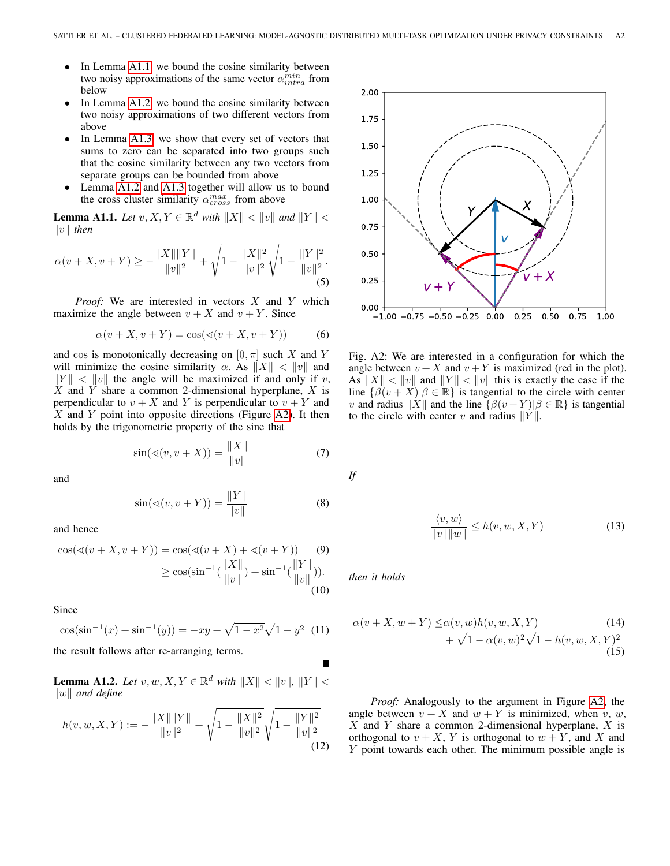- In Lemma [A1.1,](#page-1-0) we bound the cosine similarity between two noisy approximations of the same vector  $\alpha_{intra}^{min}$  from below
- In Lemma [A1.2,](#page-1-1) we bound the cosine similarity between two noisy approximations of two different vectors from above
- In Lemma [A1.3,](#page-2-0) we show that every set of vectors that sums to zero can be separated into two groups such that the cosine similarity between any two vectors from separate groups can be bounded from above
- Lemma [A1.2](#page-1-1) and [A1.3](#page-2-0) together will allow us to bound the cross cluster similarity  $\alpha_{cross}^{max}$  from above

<span id="page-1-0"></span>**Lemma A1.1.** *Let*  $v, X, Y \in \mathbb{R}^d$  *with*  $||X|| < ||v||$  *and*  $||Y|| <$  $||v||$  then

$$
\alpha(v+X, v+Y) \ge -\frac{\|X\| \|Y\|}{\|v\|^2} + \sqrt{1 - \frac{\|X\|^2}{\|v\|^2}} \sqrt{1 - \frac{\|Y\|^2}{\|v\|^2}}.
$$
\n(5)

*Proof:* We are interested in vectors X and Y which maximize the angle between  $v + X$  and  $v + Y$ . Since

$$
\alpha(v+X, v+Y) = \cos(\sphericalangle(v+X, v+Y))\tag{6}
$$

and cos is monotonically decreasing on  $[0, \pi]$  such X and Y will minimize the cosine similarity  $\alpha$ . As  $||X|| < ||v||$  and  $||Y|| < ||v||$  the angle will be maximized if and only if v,  $X$  and  $Y$  share a common 2-dimensional hyperplane,  $X$  is perpendicular to  $v + X$  and Y is perpendicular to  $v + Y$  and  $X$  and  $Y$  point into opposite directions (Figure [A2\)](#page-1-2). It then holds by the trigonometric property of the sine that

$$
\sin(\sphericalangle(v, v + X)) = \frac{\|X\|}{\|v\|} \tag{7}
$$

and

$$
\sin(\sphericalangle(v, v + Y)) = \frac{\|Y\|}{\|v\|} \tag{8}
$$

and hence

$$
\cos(\sphericalangle(v + X, v + Y)) = \cos(\sphericalangle(v + X) + \sphericalangle(v + Y)) \tag{9}
$$
  
 
$$
\geq \cos(\sin^{-1}(\frac{\|X\|}{\|v\|}) + \sin^{-1}(\frac{\|Y\|}{\|v\|})). \tag{10}
$$

Since

$$
\cos(\sin^{-1}(x) + \sin^{-1}(y)) = -xy + \sqrt{1 - x^2}\sqrt{1 - y^2}
$$
 (11)

the result follows after re-arranging terms.

<span id="page-1-1"></span>**Lemma A1.2.** *Let*  $v, w, X, Y \in \mathbb{R}^d$  *with*  $||X|| < ||v||$ ,  $||Y|| <$  $\|w\|$  and define

$$
h(v, w, X, Y) := -\frac{\|X\| \|Y\|}{\|v\|^2} + \sqrt{1 - \frac{\|X\|^2}{\|v\|^2}} \sqrt{1 - \frac{\|Y\|^2}{\|v\|^2}}
$$
(12)

<span id="page-1-2"></span>

Fig. A2: We are interested in a configuration for which the angle between  $v + X$  and  $v + Y$  is maximized (red in the plot). As  $||X|| < ||v||$  and  $||Y|| < ||v||$  this is exactly the case if the line  $\{\beta(v+X)|\beta \in \mathbb{R}\}$  is tangential to the circle with center v and radius  $||X||$  and the line  $\{\beta(v+Y)|\beta \in \mathbb{R}\}\)$  is tangential to the circle with center v and radius  $||Y||$ .

*If*

<span id="page-1-3"></span> $\langle v, w \rangle$  $\frac{\sqrt{v^2 + w^2}}{\|v\| \|w\|} \le h(v, w, X, Y)$  (13)

*then it holds*

$$
\alpha(v+X, w+Y) \leq \alpha(v, w)h(v, w, X, Y) \qquad (14) + \sqrt{1 - \alpha(v, w)^2} \sqrt{1 - h(v, w, X, Y)^2} \tag{15}
$$

*Proof:* Analogously to the argument in Figure [A2,](#page-1-2) the angle between  $v + X$  and  $w + Y$  is minimized, when v, w,  $X$  and Y share a common 2-dimensional hyperplane,  $X$  is orthogonal to  $v + X$ , Y is orthogonal to  $w + Y$ , and X and Y point towards each other. The minimum possible angle is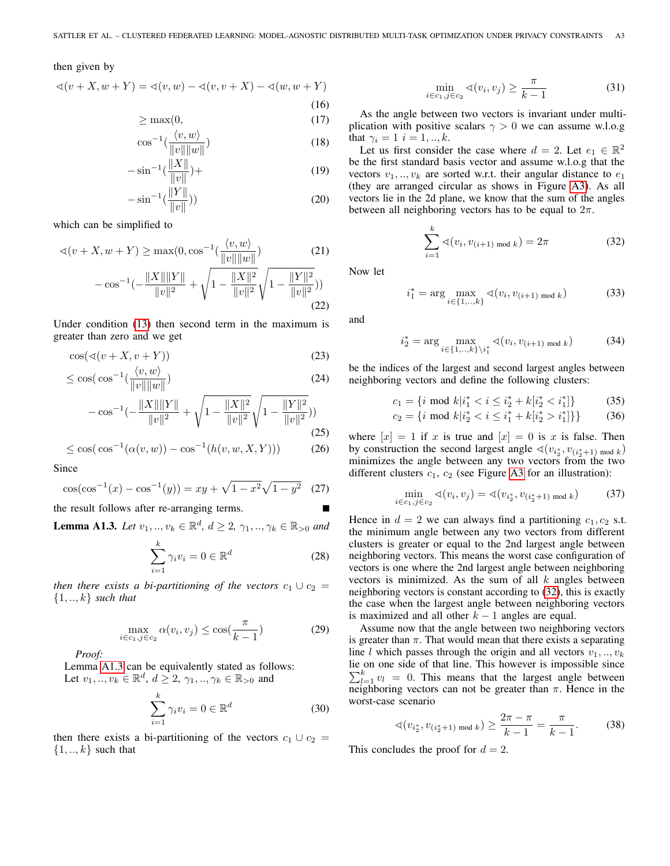## then given by

$$
\sphericalangle(v + X, w + Y) = \sphericalangle(v, w) - \sphericalangle(v, v + X) - \sphericalangle(w, w + Y)
$$

$$
\geq \max(0, \tag{15}
$$

$$
= \frac{1}{2} \left\langle v, w \right\rangle \tag{10}
$$

$$
\cos^{-1}\left(\frac{\sqrt{v}, w}{\|v\| \|w\|}\right) \tag{18}
$$
\n
$$
\therefore -1 \langle \|X\| \rangle. \tag{19}
$$

$$
-\sin^{-1}\left(\frac{\|A\|}{\|v\|}\right) +
$$
\n
$$
\therefore -1\left(\frac{\|Y\|}{\|v\|}\right) \tag{19}
$$

$$
-\sin^{-1}\left(\frac{\|I\|}{\|v\|}\right))\tag{20}
$$

which can be simplified to

$$
\sphericalangle(v + X, w + Y) \ge \max(0, \cos^{-1}\left(\frac{\langle v, w \rangle}{\|v\| \|w\|}\right) \tag{21}
$$

$$
-\cos^{-1}\left(-\frac{\|X\| \|Y\|}{\|w\|^2} + \sqrt{1 - \frac{\|X\|^2}{\|w\|^2}} \sqrt{1 - \frac{\|Y\|^2}{\|w\|^2}})
$$

$$
-\cos^{-1}\left(-\frac{\|v\|^{2}}{\|v\|^{2}} + \sqrt{1 - \frac{\|v\|^{2}}{\|v\|^{2}}}}\sqrt{1 - \frac{\|v\|^{2}}{\|v\|^{2}}}}\right) \tag{22}
$$

Under condition [\(13\)](#page-1-3) then second term in the maximum is greater than zero and we get

$$
\cos(\sphericalangle(v+X, v+Y))\tag{23}
$$

$$
\leq \cos(\cos^{-1}(\frac{\langle v, w \rangle}{\|v\| \|w\|}) \tag{24}
$$

$$
-\cos^{-1}\left(-\frac{\|X\|\|Y\|}{\|v\|^2}+\sqrt{1-\frac{\|X\|^2}{\|v\|^2}}\sqrt{1-\frac{\|Y\|^2}{\|v\|^2}})\right) \tag{25}
$$

$$
\leq \cos(\cos^{-1}(\alpha(v, w)) - \cos^{-1}(h(v, w, X, Y))) \tag{26}
$$

Since

$$
\cos(\cos^{-1}(x) - \cos^{-1}(y)) = xy + \sqrt{1 - x^2}\sqrt{1 - y^2} \quad (27)
$$

the result follows after re-arranging terms.

<span id="page-2-0"></span>**Lemma A1.3.** *Let*  $v_1, ..., v_k \in \mathbb{R}^d$ ,  $d \ge 2, \gamma_1, ..., \gamma_k \in \mathbb{R}_{>0}$  and

$$
\sum_{i=1}^{k} \gamma_i v_i = 0 \in \mathbb{R}^d
$$
 (28)

*then there exists a bi-partitioning of the vectors*  $c_1 \cup c_2 =$ {1, .., k} *such that*

$$
\max_{i \in c_1, j \in c_2} \alpha(v_i, v_j) \le \cos\left(\frac{\pi}{k - 1}\right) \tag{29}
$$

*Proof:*

Lemma [A1.3](#page-2-0) can be equivalently stated as follows: Let  $v_1, ..., v_k \in \mathbb{R}^d$ ,  $d \ge 2, \gamma_1, ..., \gamma_k \in \mathbb{R}_{>0}$  and

$$
\sum_{i=1}^{k} \gamma_i v_i = 0 \in \mathbb{R}^d \tag{30}
$$

then there exists a bi-partitioning of the vectors  $c_1 \cup c_2 =$  $\{1, \ldots, k\}$  such that

$$
\min_{i \in c_1, j \in c_2} \sphericalangle(v_i, v_j) \ge \frac{\pi}{k - 1} \tag{31}
$$

As the angle between two vectors is invariant under multiplication with positive scalars  $\gamma > 0$  we can assume w.l.o.g that  $\gamma_i = 1$   $i = 1, ..., k$ .

Let us first consider the case where  $d = 2$ . Let  $e_1 \in \mathbb{R}^2$ be the first standard basis vector and assume w.l.o.g that the vectors  $v_1, \ldots, v_k$  are sorted w.r.t. their angular distance to  $e_1$ (they are arranged circular as shows in Figure [A3\)](#page-3-0). As all vectors lie in the 2d plane, we know that the sum of the angles between all neighboring vectors has to be equal to  $2\pi$ .

<span id="page-2-1"></span>
$$
\sum_{i=1}^{k} \sphericalangle (v_i, v_{(i+1) \bmod k}) = 2\pi
$$
 (32)

Now let

$$
i_1^* = \arg\max_{i \in \{1, \dots, k\}} \sphericalangle(v_i, v_{(i+1) \text{ mod } k}) \tag{33}
$$

and

$$
i_2^* = \arg\max_{i \in \{1, \dots, k\} \setminus i_1^*} \sphericalangle(v_i, v_{(i+1) \bmod k}) \tag{34}
$$

be the indices of the largest and second largest angles between neighboring vectors and define the following clusters:

$$
c_1 = \{ i \text{ mod } k | i_1^* < i \le i_2^* + k [i_2^* < i_1^*] \} \tag{35}
$$

$$
c_2 = \{ i \text{ mod } k | i_2^* < i \le i_1^* + k [i_2^* > i_1^*] \} \} \tag{36}
$$

where  $[x] = 1$  if x is true and  $[x] = 0$  is x is false. Then by construction the second largest angle  $\triangleleft(v_{i^*_2}, v_{(i^*_2+1) \mod k})$ minimizes the angle between any two vectors from the two different clusters  $c_1$ ,  $c_2$  (see Figure [A3](#page-3-0) for an illustration):

$$
\min_{i \in c_1, j \in c_2} \sphericalangle(v_i, v_j) = \sphericalangle(v_{i_2^*}, v_{(i_2^*+1) \bmod k}) \tag{37}
$$

Hence in  $d = 2$  we can always find a partitioning  $c_1, c_2$  s.t. the minimum angle between any two vectors from different clusters is greater or equal to the 2nd largest angle between neighboring vectors. This means the worst case configuration of vectors is one where the 2nd largest angle between neighboring vectors is minimized. As the sum of all  $k$  angles between neighboring vectors is constant according to [\(32\)](#page-2-1), this is exactly the case when the largest angle between neighboring vectors is maximized and all other  $k - 1$  angles are equal.

Assume now that the angle between two neighboring vectors is greater than  $\pi$ . That would mean that there exists a separating line l which passes through the origin and all vectors  $v_1, \ldots, v_k$ lie on one side of that line. This however is impossible since  $\sum_{l=1}^{k} v_l = 0$ . This means that the largest angle between neighboring vectors can not be greater than  $\pi$ . Hence in the worst-case scenario

$$
\sphericalangle(v_{i_2^*}, v_{(i_2^*+1) \bmod k}) \ge \frac{2\pi - \pi}{k - 1} = \frac{\pi}{k - 1}.
$$
 (38)

This concludes the proof for  $d = 2$ .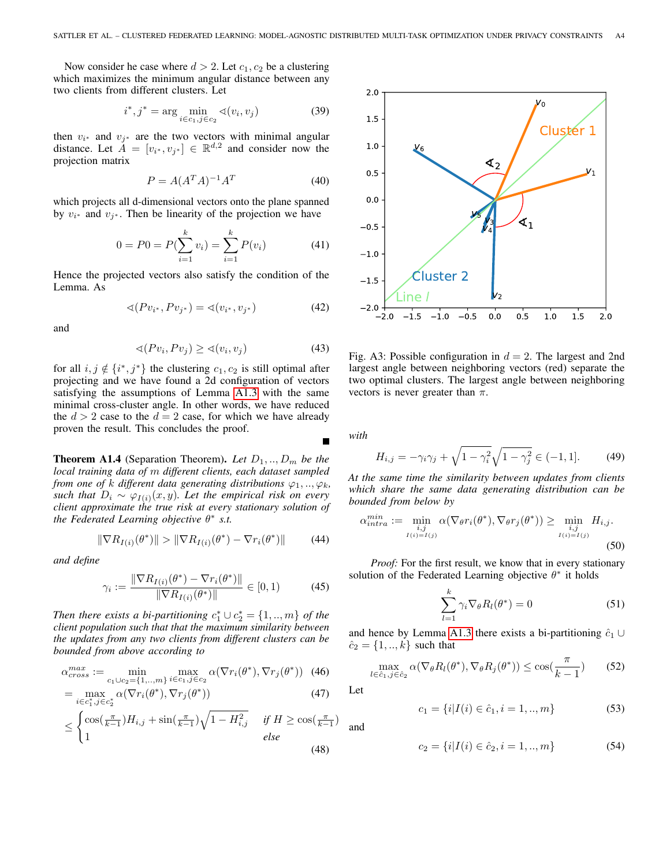Now consider he case where  $d > 2$ . Let  $c_1, c_2$  be a clustering which maximizes the minimum angular distance between any two clients from different clusters. Let

$$
i^*, j^* = \arg\min_{i \in c_1, j \in c_2} \sphericalangle(v_i, v_j)
$$
 (39)

then  $v_{i^*}$  and  $v_{j^*}$  are the two vectors with minimal angular distance. Let  $A = [v_{i^*}, v_{j^*}] \in \mathbb{R}^{d,2}$  and consider now the projection matrix

$$
P = A(A^T A)^{-1} A^T \tag{40}
$$

which projects all d-dimensional vectors onto the plane spanned by  $v_{i^*}$  and  $v_{j^*}$ . Then be linearity of the projection we have

$$
0 = P0 = P(\sum_{i=1}^{k} v_i) = \sum_{i=1}^{k} P(v_i)
$$
 (41)

Hence the projected vectors also satisfy the condition of the Lemma. As

$$
\sphericalangle (Pv_{i^*}, Pv_{j^*}) = \sphericalangle (v_{i^*}, v_{j^*})
$$
\n(42)

and

$$
\sphericalangle(Pv_i, Pv_j) \geq \sphericalangle(v_i, v_j) \tag{43}
$$

for all  $i, j \notin \{i^*, j^*\}$  the clustering  $c_1, c_2$  is still optimal after projecting and we have found a 2d configuration of vectors satisfying the assumptions of Lemma [A1.3](#page-2-0) with the same minimal cross-cluster angle. In other words, we have reduced the  $d > 2$  case to the  $d = 2$  case, for which we have already proven the result. This concludes the proof.

**Theorem A1.4** (Separation Theorem). Let  $D_1, \ldots, D_m$  be the *local training data of* m *different clients, each dataset sampled from one of* k different data generating distributions  $\varphi_1, \ldots, \varphi_k$ , *such that*  $D_i \sim \varphi_{I(i)}(x, y)$ *. Let the empirical risk on every client approximate the true risk at every stationary solution of the Federated Learning objective* θ ∗ *s.t.*

$$
\|\nabla R_{I(i)}(\theta^*)\| > \|\nabla R_{I(i)}(\theta^*) - \nabla r_i(\theta^*)\| \tag{44}
$$

*and define*

$$
\gamma_i := \frac{\|\nabla R_{I(i)}(\theta^*) - \nabla r_i(\theta^*)\|}{\|\nabla R_{I(i)}(\theta^*)\|} \in [0, 1)
$$
 (45)

*Then there exists a bi-partitioning*  $c_1^* \cup c_2^* = \{1, ..., m\}$  *of the client population such that that the maximum similarity between the updates from any two clients from different clusters can be bounded from above according to*

$$
\alpha_{cross}^{max} := \min_{c_1 \cup c_2 = \{1, ..., m\}} \max_{i \in c_1, j \in c_2} \alpha(\nabla r_i(\theta^*), \nabla r_j(\theta^*)) \tag{46}
$$

$$
= \max_{i \in c_1^*, j \in c_2^*} \alpha(\nabla r_i(\theta^*), \nabla r_j(\theta^*)) \tag{47}
$$

$$
\leq \begin{cases} \cos(\frac{\pi}{k-1})H_{i,j} + \sin(\frac{\pi}{k-1})\sqrt{1 - H_{i,j}^2} & \text{if } H \geq \cos(\frac{\pi}{k-1})\\ 1 & \text{else} \end{cases}
$$
(48)

<span id="page-3-0"></span>

Fig. A3: Possible configuration in  $d = 2$ . The largest and 2nd largest angle between neighboring vectors (red) separate the two optimal clusters. The largest angle between neighboring vectors is never greater than  $\pi$ .

*with*

$$
H_{i,j} = -\gamma_i \gamma_j + \sqrt{1 - \gamma_i^2} \sqrt{1 - \gamma_j^2} \in (-1, 1].
$$
 (49)

*At the same time the similarity between updates from clients which share the same data generating distribution can be bounded from below by*

$$
\alpha_{intra}^{min} := \min_{\substack{i,j \\ I(i) = I(j)}} \alpha(\nabla_{\theta} r_i(\theta^*), \nabla_{\theta} r_j(\theta^*)) \ge \min_{\substack{i,j \\ I(i) = I(j)}} H_{i,j}.
$$
\n(50)

*Proof:* For the first result, we know that in every stationary solution of the Federated Learning objective  $\theta^*$  it holds

$$
\sum_{l=1}^{k} \gamma_i \nabla_{\theta} R_l(\theta^*) = 0 \tag{51}
$$

and hence by Lemma [A1.3](#page-2-0) there exists a bi-partitioning  $\hat{c}_1 \cup$  $\hat{c}_2 = \{1, ..., k\}$  such that

$$
\max_{l \in \hat{c}_1, j \in \hat{c}_2} \alpha(\nabla_{\theta} R_l(\theta^*), \nabla_{\theta} R_j(\theta^*)) \le \cos(\frac{\pi}{k-1}) \tag{52}
$$

Let

$$
c_1 = \{i | I(i) \in \hat{c}_1, i = 1, ..., m\}
$$
 (53)

and

$$
c_2 = \{i | I(i) \in \hat{c}_2, i = 1, ..., m\}
$$
 (54)